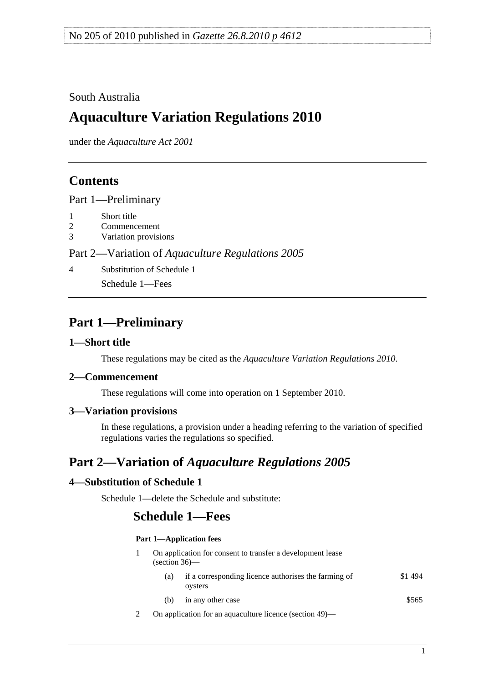## <span id="page-0-0"></span>South Australia

# **Aquaculture Variation Regulations 2010**

under the *Aquaculture Act 2001*

# **Contents**

[Part 1—Preliminary](#page-0-0)

- [1 Short title](#page-0-0)
- [2 Commencement](#page-0-0)
- [3 Variation provisions](#page-0-0)

#### Part 2—Variation of *[Aquaculture Regulations 2005](#page-0-0)*

[4 Substitution of Schedule 1](#page-0-0)

[Schedule 1—Fees](#page-0-0) 

# **Part 1—Preliminary**

#### **1—Short title**

These regulations may be cited as the *Aquaculture Variation Regulations 2010*.

#### **2—Commencement**

These regulations will come into operation on 1 September 2010.

### **3—Variation provisions**

In these regulations, a provision under a heading referring to the variation of specified regulations varies the regulations so specified.

# **Part 2—Variation of** *Aquaculture Regulations 2005*

### **4—Substitution of Schedule 1**

Schedule 1—delete the Schedule and substitute:

# **Schedule 1—Fees**

#### **Part 1—Application fees**

|  | On application for consent to transfer a development lease<br>$\left( \text{section } 36 \right)$ — |                                                                 |        |  |
|--|-----------------------------------------------------------------------------------------------------|-----------------------------------------------------------------|--------|--|
|  | (a)                                                                                                 | if a corresponding licence authorises the farming of<br>oysters | \$1494 |  |
|  | (b)                                                                                                 | in any other case                                               | \$565  |  |

2 On application for an aquaculture licence (section 49)—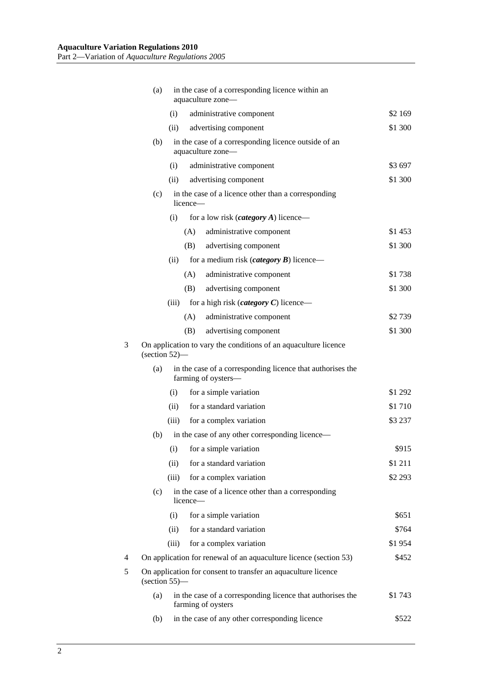|   | (a)                                                                                                      | in the case of a corresponding licence within an<br>aquaculture zone-     |                                                                                   |         |  |  |
|---|----------------------------------------------------------------------------------------------------------|---------------------------------------------------------------------------|-----------------------------------------------------------------------------------|---------|--|--|
|   |                                                                                                          | (i)                                                                       | administrative component                                                          | \$2 169 |  |  |
|   |                                                                                                          | (ii)                                                                      | advertising component                                                             | \$1 300 |  |  |
|   | (b)                                                                                                      | in the case of a corresponding licence outside of an<br>aquaculture zone— |                                                                                   |         |  |  |
|   |                                                                                                          | (i)                                                                       | administrative component                                                          | \$3697  |  |  |
|   |                                                                                                          | (ii)                                                                      | advertising component                                                             | \$1 300 |  |  |
|   | (c)                                                                                                      | licence—                                                                  | in the case of a licence other than a corresponding                               |         |  |  |
|   |                                                                                                          | (i)                                                                       | for a low risk ( <i>category A</i> ) licence—                                     |         |  |  |
|   |                                                                                                          | (A)                                                                       | administrative component                                                          | \$1453  |  |  |
|   |                                                                                                          | (B)                                                                       | advertising component                                                             | \$1 300 |  |  |
|   |                                                                                                          | (ii)                                                                      | for a medium risk ( <i>category</i> $\bm{B}$ ) licence—                           |         |  |  |
|   |                                                                                                          | (A)                                                                       | administrative component                                                          | \$1738  |  |  |
|   |                                                                                                          | (B)                                                                       | advertising component                                                             | \$1 300 |  |  |
|   |                                                                                                          | (iii)                                                                     | for a high risk ( <i>category</i> $C$ ) licence—                                  |         |  |  |
|   |                                                                                                          | (A)                                                                       | administrative component                                                          | \$2739  |  |  |
|   |                                                                                                          | (B)                                                                       | advertising component                                                             | \$1 300 |  |  |
| 3 | On application to vary the conditions of an aquaculture licence<br>$\left( \text{section } 52 \right)$ — |                                                                           |                                                                                   |         |  |  |
|   | (a)                                                                                                      |                                                                           | in the case of a corresponding licence that authorises the<br>farming of oysters- |         |  |  |
|   |                                                                                                          | (i)                                                                       | for a simple variation                                                            | \$1 292 |  |  |
|   |                                                                                                          | (ii)                                                                      | for a standard variation                                                          | \$1710  |  |  |
|   |                                                                                                          | (iii)                                                                     | for a complex variation                                                           | \$3 237 |  |  |
|   | (b)                                                                                                      |                                                                           | in the case of any other corresponding licence—                                   |         |  |  |
|   |                                                                                                          | (i)                                                                       | for a simple variation                                                            | \$915   |  |  |
|   |                                                                                                          | (ii)                                                                      | for a standard variation                                                          | \$1 211 |  |  |
|   |                                                                                                          | (iii)                                                                     | for a complex variation                                                           | \$2 293 |  |  |
|   | (c)                                                                                                      | licence-                                                                  | in the case of a licence other than a corresponding                               |         |  |  |
|   |                                                                                                          | (i)                                                                       | for a simple variation                                                            | \$651   |  |  |
|   |                                                                                                          | (ii)                                                                      | for a standard variation                                                          | \$764   |  |  |
|   |                                                                                                          | (iii)                                                                     | for a complex variation                                                           | \$1954  |  |  |
| 4 |                                                                                                          |                                                                           | On application for renewal of an aquaculture licence (section 53)                 | \$452   |  |  |
| 5 | On application for consent to transfer an aquaculture licence<br>$(section 55)$ —                        |                                                                           |                                                                                   |         |  |  |
|   | in the case of a corresponding licence that authorises the<br>\$1743<br>(a)<br>farming of oysters        |                                                                           |                                                                                   |         |  |  |
|   | (b)                                                                                                      |                                                                           | in the case of any other corresponding licence                                    | \$522   |  |  |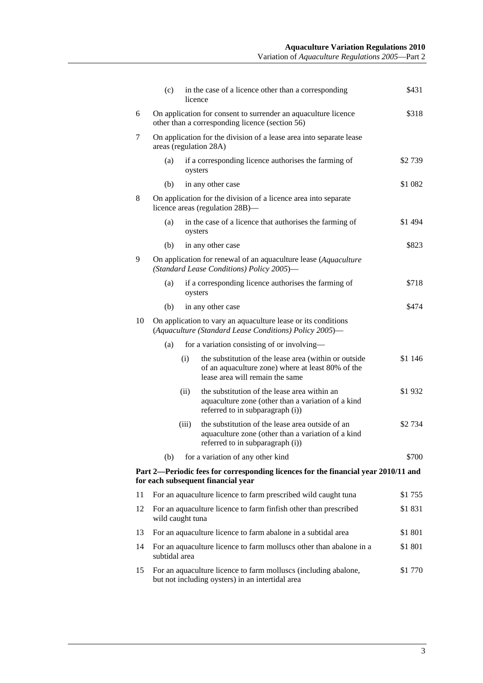|    | (c)                                                                                                                     |       | in the case of a licence other than a corresponding<br>licence                                                                                | \$431   |  |  |
|----|-------------------------------------------------------------------------------------------------------------------------|-------|-----------------------------------------------------------------------------------------------------------------------------------------------|---------|--|--|
| 6  | On application for consent to surrender an aquaculture licence<br>other than a corresponding licence (section 56)       |       |                                                                                                                                               |         |  |  |
| 7  |                                                                                                                         |       | On application for the division of a lease area into separate lease<br>areas (regulation 28A)                                                 |         |  |  |
|    | (a)                                                                                                                     |       | if a corresponding licence authorises the farming of<br>oysters                                                                               | \$2739  |  |  |
|    | (b)                                                                                                                     |       | in any other case                                                                                                                             | \$1 082 |  |  |
| 8  |                                                                                                                         |       | On application for the division of a licence area into separate<br>licence areas (regulation 28B)—                                            |         |  |  |
|    | (a)                                                                                                                     |       | in the case of a licence that authorises the farming of<br>oysters                                                                            | \$1 494 |  |  |
|    | (b)                                                                                                                     |       | in any other case                                                                                                                             | \$823   |  |  |
| 9  |                                                                                                                         |       | On application for renewal of an aquaculture lease (Aquaculture<br>(Standard Lease Conditions) Policy 2005)-                                  |         |  |  |
|    | (a)                                                                                                                     |       | if a corresponding licence authorises the farming of<br>oysters                                                                               | \$718   |  |  |
|    | (b)                                                                                                                     |       | in any other case                                                                                                                             | \$474   |  |  |
| 10 | On application to vary an aquaculture lease or its conditions<br>(Aquaculture (Standard Lease Conditions) Policy 2005)- |       |                                                                                                                                               |         |  |  |
|    | (a)                                                                                                                     |       | for a variation consisting of or involving-                                                                                                   |         |  |  |
|    |                                                                                                                         | (i)   | the substitution of the lease area (within or outside<br>of an aquaculture zone) where at least 80% of the<br>lease area will remain the same | \$1 146 |  |  |
|    |                                                                                                                         | (ii)  | the substitution of the lease area within an<br>aquaculture zone (other than a variation of a kind<br>referred to in subparagraph (i))        | \$1932  |  |  |
|    |                                                                                                                         | (iii) | the substitution of the lease area outside of an<br>aquaculture zone (other than a variation of a kind<br>referred to in subparagraph (i))    | \$2 734 |  |  |
|    | (b)                                                                                                                     |       | for a variation of any other kind                                                                                                             | \$700   |  |  |
|    |                                                                                                                         |       | Part 2—Periodic fees for corresponding licences for the financial year 2010/11 and<br>for each subsequent financial year                      |         |  |  |
| 11 |                                                                                                                         |       | For an aquaculture licence to farm prescribed wild caught tuna                                                                                | \$1 755 |  |  |
| 12 | For an aquaculture licence to farm finfish other than prescribed<br>wild caught tuna                                    |       |                                                                                                                                               | \$1831  |  |  |
| 13 | For an aquaculture licence to farm abalone in a subtidal area<br>\$1 801                                                |       |                                                                                                                                               |         |  |  |
| 14 | subtidal area                                                                                                           |       | For an aquaculture licence to farm molluscs other than abalone in a                                                                           | \$1 801 |  |  |
| 15 |                                                                                                                         |       | For an aquaculture licence to farm molluscs (including abalone,<br>but not including oysters) in an intertidal area                           | \$1 770 |  |  |